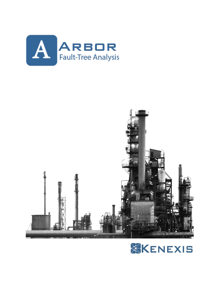



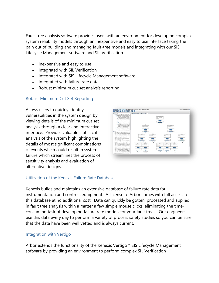Fault-tree analysis software provides users with an environment for developing complex system reliability models through an inexpensive and easy to use interface taking the pain out of building and managing fault-tree models and integrating with our SIS Lifecycle Management software and SIL Verification.

- Inexpensive and easy to use
- Integrated with SIL Verification
- Integrated with SIS Lifecycle Management software
- Integrated with failure rate data
- Robust minimum cut set analysis reporting

## Robust Minimum Cut Set Reporting

Allows users to quickly identify vulnerabilities in the system design by viewing details of the minimum cut set analysis through a clear and interactive interface. Provides valuable statistical analysis of the system highlighting the details of most significant combinations of events which could result in system failure which streamlines the process of sensitivity analysis and evaluation of alternative designs.



## Utilization of the Kenexis Failure Rate Database

Kenexis builds and maintains an extensive database of failure rate data for instrumentation and controls equipment. A License to Arbor comes with full access to this database at no additional cost. Data can quickly be gotten, processed and applied in fault tree analysis within a matter a few simple mouse clicks, eliminating the timeconsuming task of developing failure rate models for your fault trees. Our engineers use this data every day to perform a variety of process safety studies so you can be sure that the data have been well vetted and is always current.

## Integration with Vertigo

Arbor extends the functionality of the Kenexis Vertigo™ SIS Lifecycle Management software by providing an environment to perform complex SIL Verification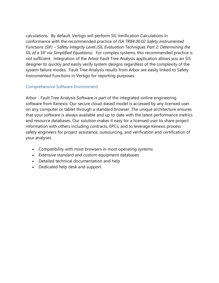calculations. By default, Vertigo will perform SIL Verification Calculations in conformance with the recommended practice of *ISA TR84.00.02 Safety Instrumented Functions (SIF) – Safety Integrity Level (SIL Evaluation Techniques Part 2: Determining the SIL of a SIF via Simplified Equations).* For complex systems, this recommended practice is not sufficient. Integration of the Arbor Fault Tree Analysis application allows you an SIS designer to quickly and easily verify system designs regardless of the complexity of the system failure modes. Fault Tree Analysis results from Arbor are easily linked to Safety Instrumented Functions in Vertigo for reporting purposes.

## Comprehensive Software Environment

Arbor - Fault Tree Analysis Software is part of the integrated-online engineering software from Kenexis. Our secure cloud-based model is accessed by any licensed user on any computer or tablet through a standard browser. The unique architecture ensures that your software is always available and up to date with the latest performance metrics and resource databases. Our solution makes it easy for a licensed user to share project information with others including contracts, EPCs, and to leverage Kenexis process safety engineers for project assistance, outsourcing, and verification and certification of your analyses.

- Compatibility with most browsers in most operating systems
- Extensive standard and custom equipment databases
- Detailed technical documentation and help
- Dedicated help desk and support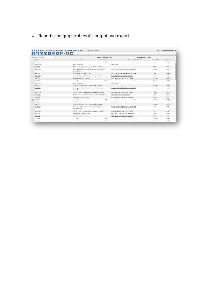• Reports and graphical results output and export

|                                                    | KENEXIS ARBOR Rupture of Flare Knock Out Drum (29V-33) Downstream Piping            |                                                                                                    |                                         |                        | Signed in as Sean Cunningham of Kenexis <sup>1</sup> |
|----------------------------------------------------|-------------------------------------------------------------------------------------|----------------------------------------------------------------------------------------------------|-----------------------------------------|------------------------|------------------------------------------------------|
| <b>i A A O A Q O <del>E</del> · U <del>C</del></b> |                                                                                     |                                                                                                    |                                         |                        |                                                      |
| Select Gate TOP GATE                               | <b>Gate Unavailability NaN</b>                                                      |                                                                                                    |                                         | Gate Frequency 6.46E-6 |                                                      |
| Cut Set                                            | Number of Events                                                                    | <b>Unavailability Contribution</b>                                                                 | <b>Frequency Contribution</b>           | Unavailability         | Frequency                                            |
| Cut Set 1                                          | 5                                                                                   | NaN                                                                                                | 68.15%                                  | $0.00E + 0$            | 4.40E-6                                              |
| <b>Event Title</b>                                 | <b>Event Description</b>                                                            |                                                                                                    | <b>Event Model</b>                      |                        |                                                      |
| EVENT 3                                            | Significant Flaring Event Occurs (During Startup / Shutdown)                        |                                                                                                    |                                         | $1.00E + 0$            | $0.00E + 0$                                          |
| EVENT 36                                           | Board Operator Fails to Respond to Alarm from LT-2069A (during<br>Startup/Shutdown) |                                                                                                    | FAIL TO RESPONSE TO ALARM -> 60 MINUTES | 4.40E-2                | $0.00E + 0$                                          |
| EVENT 9                                            | Operator Fails to Check Sight Glass                                                 |                                                                                                    | OMIT STEP FROM SCH. TASK W/O CHECKOFF   | $1.00E - 2$            | $0.00E + 0.$                                         |
| EVENT 35                                           |                                                                                     | Operator Failure to Follow Flare Drum Management Procedure<br>FAILURE TO CARRY OUT PLANT POLICY    |                                         | 1.00E-2                | $0.00E + 0$                                          |
| EVENT <sub>2</sub>                                 | Frequency of Startup / Shutdown                                                     | FREQUENCY OF STARTUP / SHUTDOWN                                                                    |                                         | $0.00E + 0.$           | $1.00E + 0$                                          |
| Cut Set 2                                          | 5                                                                                   | NaN                                                                                                | 6.82%                                   | $0.00E + 0$            | 4.40E-7                                              |
| <b>Event Title</b>                                 | <b>Event Description</b>                                                            |                                                                                                    | Event Model                             |                        |                                                      |
| EVENT 3                                            | Significant Flaring Event Occurs (During Startup / Shutdown)                        |                                                                                                    |                                         | $1.00E + 0$            | $0.00E + 0$                                          |
| EVENT 36                                           | Board Operator Fails to Respond to Alarm from LT-2069A (during<br>Startup/Shutdown) |                                                                                                    | FAIL TO RESPONSE TO ALARM -> 60 MINUTES | 4.40E-2                | $0.00E + 0$                                          |
| EVENT 35                                           |                                                                                     | Operator Failure to Follow Flare Drum Management Procedure<br>FAILURE TO CARRY OUT PLANT POLICY    |                                         | 1.00E-2                | $0.00E + 0$                                          |
| EVENT 10                                           |                                                                                     | Field Operator Fails to Witness Rising Level in 29V-33 Sight Glass<br>FAIL TO CHECK ANOLOG READING |                                         | 1.00E-3                | $0.00E + 0$                                          |
| EVENT <sub>2</sub>                                 | Frequency of Startup / Shutdown                                                     | FREQUENCY OF STARTUP / SHUTDOWN                                                                    |                                         | $0.00E*0$              | $1.00E + 0$                                          |
| Cut Set 3                                          | S.                                                                                  | NaN                                                                                                | 6.82%                                   | $0.00E + 0$            | 4.40E-7                                              |
| <b>Event Title</b>                                 | <b>Event Description</b>                                                            |                                                                                                    | <b>Event Model</b>                      |                        |                                                      |
| EVENT 3                                            | Significant Flaring Event Occurs (During Startup / Shutdown)                        |                                                                                                    |                                         | $1.00E + D$            | $0.00E + 0$                                          |
| EVENT 36                                           | Board Operator Fails to Respond to Alarm from LT-2069A (during<br>Startup/Shutdown) |                                                                                                    | FAIL TO RESPONSE TO ALARM -> 60 MINUTES | 4.40E-2                | $0.00E + 0$                                          |
| EVENT 35                                           | Operator Failure to Follow Flare Drum Management Procedure                          |                                                                                                    | FAILURE TO CARRY OUT PLANT POLICY       | 1.00E-2                | $0.00E + 0.$                                         |
| EVENT 8                                            | Operator Fails to Perform Rounds                                                    |                                                                                                    | FAILURE TO PERFORM SCHEDULED TASK       | 1.00E-3                | $0.00E + 0$                                          |
| EVENT <sub>2</sub>                                 | Frequency of Startup / Shutdown                                                     | FREQUENCY OF STARTUP / SHUTDOWN                                                                    |                                         | $0.00E + 0$            | $1.00E + 0.$                                         |
| Cut Set 4                                          | $\Delta$                                                                            | NaN                                                                                                | 5.18%                                   | $0.00E + 0$            | 3.35E-7                                              |
| Cut Set 5                                          | 3                                                                                   | NaN                                                                                                | 4.81%                                   | $0.00E + 0$            | 3.11E-7                                              |